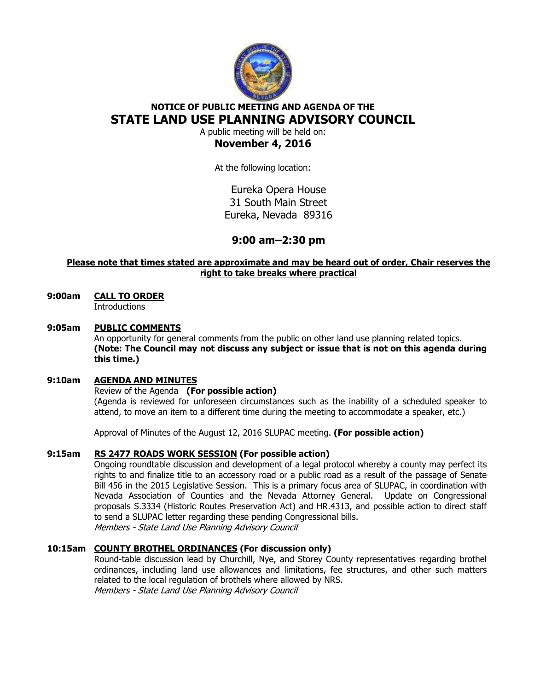

# **NOTICE OF PUBLIC MEETING AND AGENDA OF THE STATE LAND USE PLANNING ADVISORY COUNCIL**

A public meeting will be held on: **November 4, 2016** 

At the following location:

Eureka Opera House 31 South Main Street Eureka, Nevada 89316

## **9:00 am–2:30 pm**

## **Please note that times stated are approximate and may be heard out of order, Chair reserves the right to take breaks where practical**

### **9:00am CALL TO ORDER Introductions**

### **9:05am PUBLIC COMMENTS**

An opportunity for general comments from the public on other land use planning related topics. **(Note: The Council may not discuss any subject or issue that is not on this agenda during this time.)** 

### **9:10am AGENDA AND MINUTES**

### Review of the Agenda **(For possible action)**

(Agenda is reviewed for unforeseen circumstances such as the inability of a scheduled speaker to attend, to move an item to a different time during the meeting to accommodate a speaker, etc.)

Approval of Minutes of the August 12, 2016 SLUPAC meeting. **(For possible action)** 

### **9:15am RS 2477 ROADS WORK SESSION (For possible action)**

 Ongoing roundtable discussion and development of a legal protocol whereby a county may perfect its rights to and finalize title to an accessory road or a public road as a result of the passage of Senate Bill 456 in the 2015 Legislative Session. This is a primary focus area of SLUPAC, in coordination with Nevada Association of Counties and the Nevada Attorney General. Update on Congressional proposals S.3334 (Historic Routes Preservation Act) and HR.4313, and possible action to direct staff to send a SLUPAC letter regarding these pending Congressional bills. Members - State Land Use Planning Advisory Council

## **10:15am COUNTY BROTHEL ORDINANCES (For discussion only)**

Round-table discussion lead by Churchill, Nye, and Storey County representatives regarding brothel ordinances, including land use allowances and limitations, fee structures, and other such matters related to the local regulation of brothels where allowed by NRS.

Members - State Land Use Planning Advisory Council